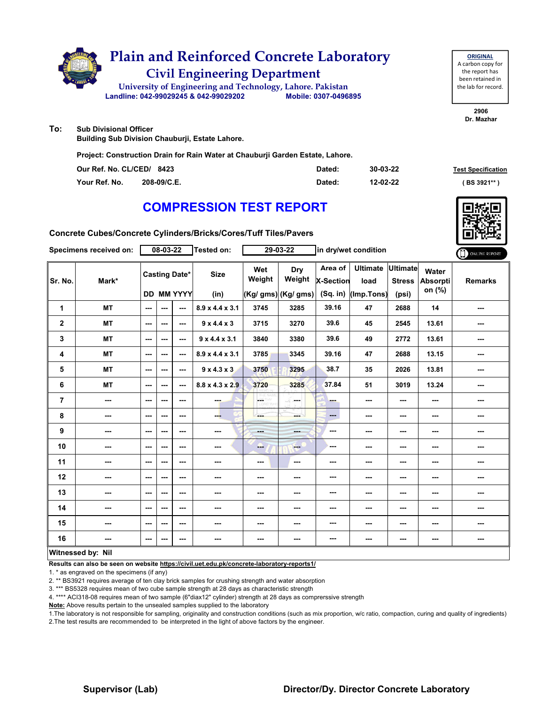

# **Civil Engineering Department Plain and Reinforced Concrete Laboratory**

**Landline: 042-99029245 & 042-99029202 Mobile: 0307-0496895 University of Engineering and Technology, Lahore. Pakistan**

**ORIGINAL** A carbon copy for the report has been retained in the lab for record.

> **2906 Dr. Mazhar**

**To: Sub Divisional Officer**

**Building Sub Division Chauburji, Estate Lahore.**

**Project: Construction Drain for Rain Water at Chauburji Garden Estate, Lahore.**

| Our Ref. No. CL/CED/ 8423 |             | Dated: | 30-03-22 | <b>Test Specification</b> |
|---------------------------|-------------|--------|----------|---------------------------|
| Your Ref. No.             | 208-09/C.E. | Dated: | 12-02-22 | (BS 3921**)               |

## **COMPRESSION TEST REPORT**



**Concrete Cubes/Concrete Cylinders/Bricks/Cores/Tuff Tiles/Pavers**

| Specimens received on: |           |                          | 08-03-22 |                                           | Tested on:                  |                          | 29-03-22                             |                                    | in dry/wet condition                  |                                           |                             | ONLINE REPORT  |
|------------------------|-----------|--------------------------|----------|-------------------------------------------|-----------------------------|--------------------------|--------------------------------------|------------------------------------|---------------------------------------|-------------------------------------------|-----------------------------|----------------|
| Sr. No.                | Mark*     |                          |          | <b>Casting Date*</b><br><b>DD MM YYYY</b> | <b>Size</b><br>(in)         | Wet<br>Weight            | Dry<br>Weight<br>(Kg/ gms) (Kg/ gms) | Area of<br>X-Section<br>$(Sq.$ in) | <b>Ultimate</b><br>load<br>(Imp.Tons) | <b>Ultimate</b><br><b>Stress</b><br>(psi) | Water<br>Absorpti<br>on (%) | <b>Remarks</b> |
| 1                      | <b>MT</b> | $\sim$ $\sim$            | ---      | $\overline{a}$                            | 8.9 x 4.4 x 3.1             | 3745                     | 3285                                 | 39.16                              | 47                                    | 2688                                      | 14                          | ---            |
| $\mathbf{2}$           | <b>MT</b> | ---                      | ---      | ---                                       | $9 \times 4.4 \times 3$     | 3715                     | 3270                                 | 39.6                               | 45                                    | 2545                                      | 13.61                       | ---            |
| 3                      | <b>MT</b> | $- - -$                  | ---      | ---                                       | $9 \times 4.4 \times 3.1$   | 3840                     | 3380                                 | 39.6                               | 49                                    | 2772                                      | 13.61                       | ---            |
| 4                      | <b>MT</b> | ---                      | ---      | ---                                       | $8.9 \times 4.4 \times 3.1$ | 3785                     | 3345                                 | 39.16                              | 47                                    | 2688                                      | 13.15                       |                |
| 5                      | <b>MT</b> | $\sim$                   | $--$     | $\overline{\phantom{a}}$                  | $9 \times 4.3 \times 3$     | 3750                     | 3295                                 | 38.7                               | 35                                    | 2026                                      | 13.81                       | ---            |
| 6                      | <b>MT</b> | $\hspace{0.05cm} \ldots$ | ---      | ---                                       | $8.8 \times 4.3 \times 2.9$ | 3720                     | 3285                                 | 37.84                              | 51                                    | 3019                                      | 13.24                       | ---            |
| $\overline{7}$         | ---       | ---                      | ---      | ---                                       | ---                         | <b>OETHY</b>             | in man                               | ---                                | ---                                   | $\overline{\phantom{a}}$                  | ---                         | ---            |
| 8                      | ---       | ---                      | ---      | ---                                       | ---                         | ---                      | ---                                  | $\qquad \qquad \cdots$             | $\overline{\phantom{a}}$              | ---                                       | ---                         | ---            |
| 9                      | ---       | ---                      | ---      | ---                                       | ---                         | $- - -$                  | ---                                  | ---                                | ---                                   | $--$                                      | ---                         | ---            |
| 10                     | ---       | $-$                      | ---      | ---                                       | ---                         | المنبا                   | <b>Fee</b>                           | ---                                | ---                                   | ---                                       | ---                         | ---            |
| 11                     | ---       | $\overline{\phantom{a}}$ | $--$     | ---                                       | ---                         | $\hspace{0.05cm} \ldots$ | ---                                  | ---                                | ---                                   | ---                                       | $\overline{\phantom{a}}$    | ---            |
| 12                     | ---       | ---                      | ---      | ---                                       | ---                         | ---                      | ---                                  | ---                                | ---                                   | ---                                       | ---                         |                |
| 13                     | ---       | ---                      | ---      | ---                                       | ---                         | ---                      | ---                                  | ---                                | ---                                   | ---                                       | ---                         | ---            |
| 14                     | ---       | $\sim$ $\sim$            | $- - -$  | ---                                       | ---                         | ---                      | ---                                  | ---                                | ---                                   | $\overline{\phantom{a}}$                  | $\overline{\phantom{a}}$    | ---            |
| 15                     | ---       | ---                      | ---      | ---                                       | ---                         | $\sim$ $\sim$            | ---                                  | ---                                | ---                                   | ---                                       | ---                         | ---            |
| 16                     | ---       | $\sim$                   | ---      | ---                                       | ---                         | ---                      | ---                                  | ---                                | ---                                   | ---                                       | ---                         |                |
| Witnessed by: Nil      |           |                          |          |                                           |                             |                          |                                      |                                    |                                       |                                           |                             |                |

### **Witnessed by: Nil**

**Results can also be seen on website https://civil.uet.edu.pk/concrete-laboratory-reports1/**

1. \* as engraved on the specimens (if any)

2. \*\* BS3921 requires average of ten clay brick samples for crushing strength and water absorption

3. \*\*\* BS5328 requires mean of two cube sample strength at 28 days as characteristic strength

4. \*\*\*\* ACI318-08 requires mean of two sample (6"diax12" cylinder) strength at 28 days as comprerssive strength

**Note:** Above results pertain to the unsealed samples supplied to the laboratory

1.The laboratory is not responsible for sampling, originality and construction conditions (such as mix proportion, w/c ratio, compaction, curing and quality of ingredients) 2.The test results are recommended to be interpreted in the light of above factors by the engineer.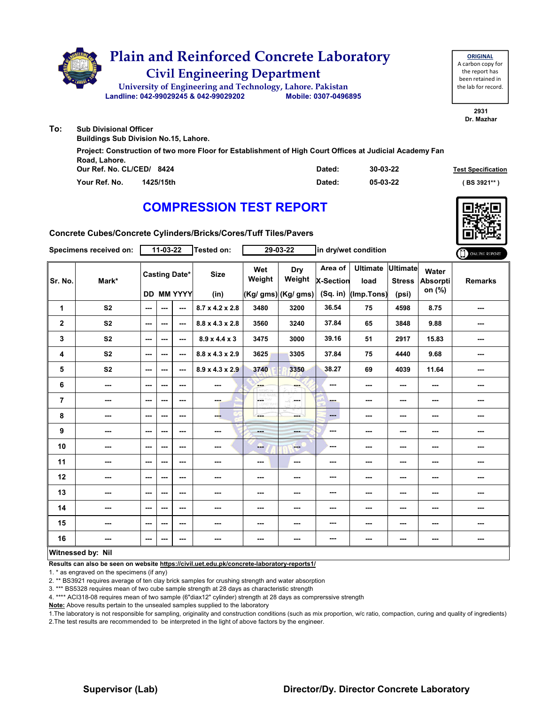

|                           | Project: Construction of two more Floor for Establishment of High Court Offices at Judicial Academy Fan |        |          |                           |
|---------------------------|---------------------------------------------------------------------------------------------------------|--------|----------|---------------------------|
| Road, Lahore.             |                                                                                                         |        |          |                           |
| Our Ref. No. CL/CED/ 8424 |                                                                                                         | Dated: | 30-03-22 | <b>Test Specification</b> |
| Your Ref. No.             | 1425/15th                                                                                               | Dated: | 05-03-22 | (BS 3921** )              |

## **COMPRESSION TEST REPORT**



**Concrete Cubes/Concrete Cylinders/Bricks/Cores/Tuff Tiles/Pavers**

| Specimens received on: |                |                          | 11-03-22 |                                           | <b>Tested on:</b>           |                          | 29-03-22                                     | in dry/wet condition               |                                         | ONLINE REPORT          |                             |                |
|------------------------|----------------|--------------------------|----------|-------------------------------------------|-----------------------------|--------------------------|----------------------------------------------|------------------------------------|-----------------------------------------|------------------------|-----------------------------|----------------|
| Sr. No.                | Mark*          |                          |          | <b>Casting Date*</b><br><b>DD MM YYYY</b> | <b>Size</b><br>(in)         | Wet<br>Weight            | <b>Dry</b><br>Weight<br>$(Kg/gms)$ (Kg/ gms) | Area of<br>X-Section<br>$(Sq.$ in) | Ultimate Ultimate<br>load<br>(Imp.Tons) | <b>Stress</b><br>(psi) | Water<br>Absorpti<br>on (%) | <b>Remarks</b> |
| 1                      | S <sub>2</sub> | $\sim$                   | ---      | ---                                       | 8.7 x 4.2 x 2.8             | 3480                     | 3200                                         | 36.54                              | 75                                      | 4598                   | 8.75                        | ---            |
| $\mathbf 2$            | S <sub>2</sub> | $\overline{\phantom{a}}$ | ---      | ---                                       | $8.8 \times 4.3 \times 2.8$ | 3560                     | 3240                                         | 37.84                              | 65                                      | 3848                   | 9.88                        | ---            |
| 3                      | S <sub>2</sub> | ---                      | $--$     | ---                                       | $8.9 \times 4.4 \times 3$   | 3475                     | 3000                                         | 39.16                              | 51                                      | 2917                   | 15.83                       | ---            |
| 4                      | S <sub>2</sub> | ---                      | $--$     | ---                                       | $8.8 \times 4.3 \times 2.9$ | 3625                     | 3305                                         | 37.84                              | 75                                      | 4440                   | 9.68                        | ---            |
| 5                      | S <sub>2</sub> | ---                      | ---      | $\overline{\phantom{a}}$                  | $8.9 \times 4.3 \times 2.9$ | 3740                     | 3350                                         | 38.27                              | 69                                      | 4039                   | 11.64                       | ---            |
| 6                      | ---            | ---                      | ---      | ---                                       | ---                         | <b>SHOP</b>              | ---                                          | $\overline{\phantom{a}}$           | $--$                                    | ---                    | ---                         | ---            |
| $\overline{7}$         | ---            | $\sim$ $\sim$            | ---      | $\overline{\phantom{a}}$                  | ---                         | LGST<br>o von            | la sua                                       | ---                                | ---                                     | $--$                   | $\sim$                      | ---            |
| 8                      | ---            | ---                      | ---      | $\overline{\phantom{a}}$                  | ---                         |                          | ---                                          | $\qquad \qquad \cdots$             | ---                                     | ---                    | $\overline{\phantom{a}}$    | ---            |
| 9                      | ---            | $--$                     | ---      | $\overline{\phantom{a}}$                  | ---                         | Here.                    | ---                                          | ---                                | ---                                     | ---                    | ---                         | ---            |
| 10                     | ---            | $--$                     | ---      | $\overline{\phantom{a}}$                  | ---                         | ---                      | ---                                          | ---                                | ---                                     | ---                    | ---                         | ---            |
| 11                     | ---            | ---                      | ---      | ---                                       | ---                         | ---                      | ---                                          | ---                                | ---                                     | ---                    | ---                         | ---            |
| 12                     | ---            | $- - -$                  | ---      | ---                                       | ---                         | $\sim$ $\sim$            | ---                                          | ---                                | ---                                     | ---                    | ---                         | ---            |
| 13                     | ---            | ---                      | ---      | ---                                       | ---                         | ---                      | ---                                          | ---                                | ---                                     | ---                    | ---                         | ---            |
| 14                     | ---            | ---                      | ---      | ---                                       | ---                         | $\overline{\phantom{a}}$ | ---                                          | ---                                | ---                                     | ---                    | ---                         | ---            |
| 15                     | ---            | ---                      | ---      | ---                                       | ---                         | ---                      | ---                                          | ---                                | ---                                     | ---                    | ---                         | ---            |
| 16                     | ---            | $\sim$                   | ---      | ---                                       | ---                         | ---                      | ---                                          | $\cdots$                           | ---                                     | ---                    | $\sim$                      | ---            |
| Witnessed by: Nil      |                |                          |          |                                           |                             |                          |                                              |                                    |                                         |                        |                             |                |

### **Witnessed by: Nil**

**Results can also be seen on website https://civil.uet.edu.pk/concrete-laboratory-reports1/**

1. \* as engraved on the specimens (if any)

2. \*\* BS3921 requires average of ten clay brick samples for crushing strength and water absorption

3. \*\*\* BS5328 requires mean of two cube sample strength at 28 days as characteristic strength

4. \*\*\*\* ACI318-08 requires mean of two sample (6"diax12" cylinder) strength at 28 days as comprerssive strength

**Note:** Above results pertain to the unsealed samples supplied to the laboratory

1.The laboratory is not responsible for sampling, originality and construction conditions (such as mix proportion, w/c ratio, compaction, curing and quality of ingredients) 2.The test results are recommended to be interpreted in the light of above factors by the engineer.